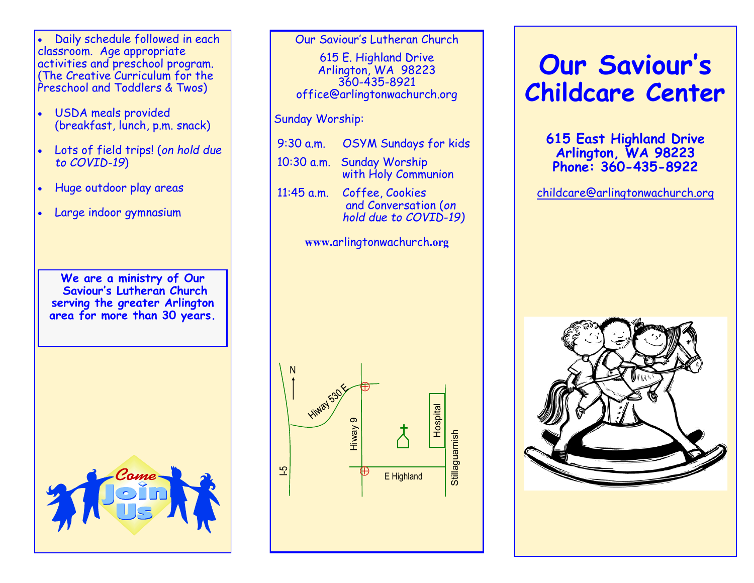• Daily schedule followed in each classroom. Age appropriate activities and preschool program. (The Creative Curriculum for the Preschool and Toddlers & Twos)

- USDA meals provided (breakfast, lunch, p.m. snack)
- Lots of field trips! (*on hold due to COVID-19*)
- Huge outdoor play areas
- Large indoor gymnasium

**We are a ministry of Our Saviour's Lutheran Church serving the greater Arlington area for more than 30 years.**



Our Saviour's Lutheran Church

615 E. Highland Drive Arlington, WA 98223 360-435-8921 office@arlingtonwachurch.org

#### Sunday Worship:

9:30 a.m. OSYM Sundays for kids 10:30 a.m. Sunday Worship with Holy Communion 11:45 a.m. Coffee, Cookies and Conversation (*on hold due to COVID-19)*

**www.**arlingtonwachurch**.org** 



# **Our Saviour' s Childcare Center**

**615 East Highland Drive Arlington, WA 98223 Phone: 360-435-8922**

[childcare@arlingtonwachurch.org](mailto:childcare.arlingtonwachurch@gmail.com)